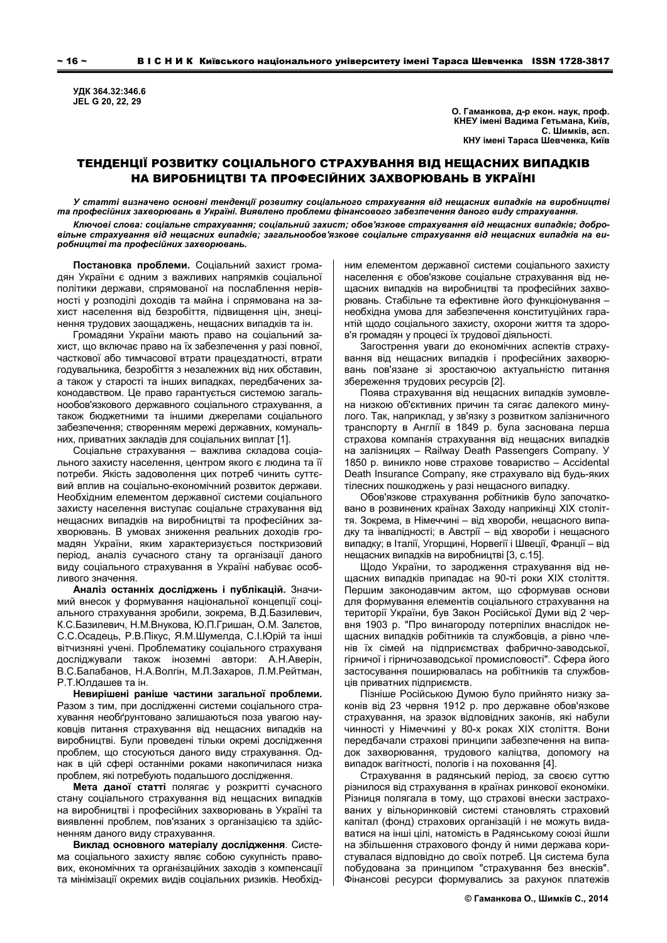**ɍȾɄ 364.32:346.6 JEL G 20, 22, 29** 

**О. Гаманкова, д-р екон. наук, проф.** КНЕУ імені Вадима Гетьмана, Київ,  $C.$  Шимків, асп. КНУ імені Тараса Шевченка, Київ

# ТЕНДЕНЦІЇ РОЗВИТКУ СОЦІАЛЬНОГО СТРАХУВАННЯ ВІД НЕЩАСНИХ ВИПАДКІВ НА ВИРОБНИЦТВІ ТА ПРОФЕСІЙНИХ ЗАХВОРЮВАНЬ В УКРАЇНІ

*ɍ ɫɬɚɬɬɿ ɜɢɡɧɚɱɟɧɨ ɨɫɧɨɜɧɿ ɬɟɧɞɟɧɰɿʀ ɪɨɡɜɢɬɤɭ ɫɨɰɿɚɥɶɧɨɝɨ ɫɬɪɚɯɭɜɚɧɧɹ ɜɿɞ ɧɟɳɚɫɧɢɯ ɜɢɩɚɞɤɿɜ ɧɚ ɜɢɪɨɛɧɢɰɬɜɿ* та професійних захворювань в Україні. Виявлено проблеми фінансового забезпечення даного виду страхування.

Ключові слова: соціальне страхування; соціальний захист; обов'язкове страхування від нещасних випадків; добровільне страхування від нещасних випадків; загальнообов'язкове соціальне страхування від нещасних випадків на ви $po$ бництві та професійних захворювань.

Постановка проблеми. Соціальний захист громадян України є одним з важливих напрямків соціальної політики держави, спрямованої на послаблення нерівності у розподілі доходів та майна і спрямована на захист населення від безробіття, підвищення цін, знецінення трудових заощаджень, нещасних випадків та ін.

Громадяни України мають право на соціальний захист, що включає право на їх забезпечення у разі повної, часткової або тимчасової втрати працездатності, втрати годувальника, безробіття з незалежних від них обставин, а також у старості та інших випадках, передбачених законодавством. Це право гарантується системою загальнообов'язкового державного соціального страхування, а також бюджетними та іншими джерелами соціального забезпечення: створенням мережі державних, комунальних, приватних закладів для соціальних виплат [1].

Соціальне страхування - важлива складова соціального захисту населення, центром якого є людина та її потреби. Якість задоволення цих потреб чинить суттєвий вплив на соціально-економічний розвиток держави. Необхідним елементом державної системи соціального захисту населення виступає соціальне страхування від нещасних випадків на виробництві та професійних захворювань. В умовах зниження реальних доходів громадян України, яким характеризується посткризовий період, аналіз сучасного стану та організації даного виду соціального страхування в Україні набуває особливого значення.

**Аналіз останніх досліджень і публікацій.** Значимий внесок у формування національної концепції соціального страхування зробили, зокрема, В.Д.Базилевич, К.С.Базилевич, Н.М.Внукова, Ю.П.Гришан, О.М. Залєтов, С.С.Осадець, Р.В.Пікус, Я.М.Шумелда, С.І.Юрій та інші вітчизняні учені. Проблематику соціального страхуваня досліджували також іноземні автори: А.Н.Аверін, В.С.Балабанов, Н.А.Волгін, М.Л.Захаров, Л.М.Рейтман, P T Юллашев та ін

Невирішені раніше частини загальної проблеми. Разом з тим, при дослідженні системи соціального страхування необґрунтовано залишаються поза увагою науковців питання страхування від нещасних випадків на виробництві. Були проведені тільки окремі дослідження проблем, що стосуються даного виду страхування. Однак в цій сфері останніми роками накопичилася низка проблем, які потребують подальшого дослідження.

Мета даної статті полягає у розкритті сучасного стану соціального страхування від нещасних випадків на виробництві і професійних захворювань в Україні та виявленні проблем, пов'язаних з організацією та здійсненням даного виду страхування.

Виклад основного матеріалу дослідження. Система соціального захисту являє собою сукупність правових, економічних та організаційних заходів з компенсації та мінімізації окремих видів соціальних ризиків. Необхідним елементом державної системи соціального захисту населення є обов'язкове соціальне страхування від нещасних випадків на виробництві та професійних захворювань. Стабільне та ефективне його функціонування необхідна умова для забезпечення конституційних гарантій щодо соціального захисту, охорони життя та здоров'я громадян у процесі їх трудової діяльності.

Загострення уваги до економічних аспектів страхування від нещасних випадків і професійних захворювань пов'язане зі зростаючою актуальністю питання збереження трудових ресурсів [2].

Поява страхування від нещасних випадків зумовлена низкою об'єктивних причин та сягає далекого минулого. Так, наприклад, у зв'язку з розвитком залізничного транспорту в Англії в 1849 р. була заснована перша страхова компанія страхування від нещасних випадків на залізницях - Railway Death Passengers Company. У 1850 р. виникло нове страхове товариство – Accidental Death Insurance Company, яке страхувало від будь-яких тілесних пошкоджень у разі нещасного випадку.

Обов'язкове страхування робітників було започатковано в розвинених країнах Заходу наприкінці XIX століття. Зокрема, в Німеччині – від хвороби, нещасного випадку та інвалідності; в Австрії – від хвороби і нещасного випадку; в Італії, Угорщині, Норвегії і Швеції, Франції – від нещасних випадків на виробництві [3, с.15].

Щодо України, то зародження страхування від нещасних випадків припадає на 90-ті роки XIX століття. Першим законодавчим актом, що сформував основи для формування елементів соціального страхування на території України. був Закон Російської Думи від 2 червня 1903 р. "Про винагороду потерпілих внаслідок нещасних випадків робітників та службовців, а рівно членів їх сімей на підприємствах фабрично-заводської, гірничої і гірничозаводської промисловості". Сфера його застосування поширювалась на робітників та службов-**ЦІВ ПОИВАТНИХ ПІЛПОИЄМСТВ** 

Пізніше Російською Думою було прийнято низку законів від 23 червня 1912 р. про державне обов'язкове страхування, на зразок відповідних законів, які набули чинності у Німеччині у 80-х роках XIX століття. Вони передбачали страхові принципи забезпечення на випадок захворювання, трудового каліцтва, допомогу на випадок вагітності, пологів і на поховання [4].

Страхування в радянський період, за своєю суттю різнилося від страхування в країнах ринкової економіки. Різниця полягала в тому, що страхові внески застрахованих у вільноринковій системі становлять страховий капітал (фонд) страхових організацій і не можуть видаватися на інші цілі, натомість в Радянському союзі йшли на збільшення страхового фонду й ними держава користувалася відповідно до своїх потреб. Ця система була побудована за принципом "страхування без внесків". Фінансові ресурси формувались за рахунок платежів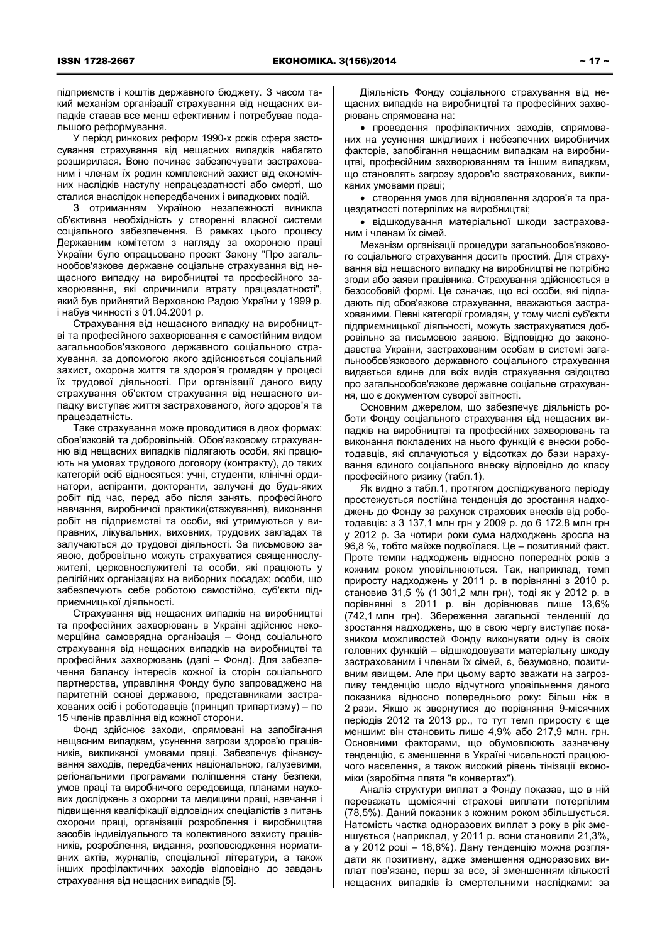підприємств і коштів державного бюджету. З часом такий механізм організації страхування від нещасних випадків ставав все менш ефективним і потребував подальшого реформування.

У період ринкових реформ 1990-х років сфера застосування страхування від нещасних випадків набагато розширилася. Воно починає забезпечувати застрахованим і членам їх родин комплексний захист від економічних наслідків наступу непрацездатності або смерті, що сталися внаслідок непередбачених і випадкових подій.

3 отриманням Україною незалежності виникла об'єктивна необхідність у створенні власної системи соціального забезпечення. В рамках цього процесу Державним комітетом з нагляду за охороною праці України було опрацьовано проект Закону "Про загальнообов'язкове державне соціальне страхування від нещасного випадку на виробництві та професійного захворювання, які спричинили втрату працездатності", який був прийнятий Верховною Радою України у 1999 р. і набув чинності з 01.04.2001 р.

Страхування від нещасного випадку на виробництві та професійного захворювання є самостійним видом загальнообов'язкового державного соціального страхування, за допомогою якого здійснюється соціальний захист, охорона життя та здоров'я громадян у процесі їх трудової діяльності. При організації даного виду страхування об'єктом страхування від нещасного випадку виступає життя застрахованого, його здоров'я та працезлатність

Таке страхування може проводитися в двох формах: обов'язковій та добровільній. Обов'язковому страхуванню від нещасних випадків підлягають особи, які працюють на умовах трудового договору (контракту), до таких категорій осіб відносяться: учні, студенти, клінічні ординатори, аспіранти, докторанти, залучені до будь-яких робіт під час, перед або після занять, професійного навчання, виробничої практики(стажування), виконання робіт на підприємстві та особи, які утримуються у виправних, лікувальних, виховних, трудових закладах та залучаються до трудової діяльності. За письмовою заявою, добровільно можуть страхуватися священнослужителі, церковнослужителі та особи, які працюють у релігійних організаціях на виборних посадах; особи, що забезпечують себе роботою самостійно, суб'єкти підприємницької діяльності.

Страхування від нещасних випадків на виробництві та професійних захворювань в Україні здійснює некомерційна самоврядна організація – Фонд соціального страхування від нещасних випадків на виробництві та професійних захворювань (далі – Фонд). Для забезпечення балансу інтересів кожної із сторін соціального партнерства, управління Фонду було запроваджено на паритетній основі державою, представниками застрахованих осіб і роботодавців (принцип трипартизму) – по 15 членів правління від кожної сторони.

Фонд здійснює заходи, спрямовані на запобігання нещасним випадкам, усунення загрози здоров'ю працівників, викликаної умовами праці. Забезпечує фінансування заходів, передбачених національною, галузевими. регіональними програмами поліпшення стану безпеки, умов праці та виробничого середовища, планами наукових досліджень з охорони та медицини праці, навчання і підвищення кваліфікації відповідних спеціалістів з питань охорони праці, організації розроблення і виробництва засобів індивідуального та колективного захисту працівників, розроблення, видання, розповсюдження нормативних актів, журналів, спеціальної літератури, а також інших профілактичних заходів відповідно до завдань страхування від нещасних випадків [5].

Діяльність Фонду соціального страхування від нещасних випадків на виробництві та професійних захворювань спрямована на:

• проведення профілактичних заходів, спрямованих на усунення шкідливих і небезпечних виробничих факторів, запобігання нещасним випадкам на виробництві, професійним захворюванням та іншим випадкам, що становлять загрозу здоров'ю застрахованих, викликаних умовами праці;

• створення умов для відновлення здоров'я та працездатності потерпілих на виробництві;

• відшкодування матеріальної шкоди застрахованим і членам їх сімей

Механізм організації процедури загальнообов'язкового соціального страхування досить простий. Для страхування від нешасного випадку на виробництві не потрібно згоди або заяви працівника. Страхування здійснюється в безособовій формі. Це означає, що всі особи, які підпадають під обов'язкове страхування, вважаються застрахованими. Певні категорії громадян, у тому числі суб'єкти підприємницької діяльності, можуть застрахуватися добровільно за письмовою заявою. Відповідно до законодавства України, застрахованим особам в системі загальнообов'язкового державного соціального страхування видається єдине для всіх видів страхування свідоцтво про загальнообов'язкове державне соціальне страхування, що є документом суворої звітності.

Основним джерелом, що забезпечує діяльність роботи Фонду соціального страхування від нещасних випадків на виробництві та професійних захворювань та виконання покладених на нього функцій є внески роботодавців, які сплачуються у відсотках до бази нарахування єдиного соціального внеску відповідно до класу професійного ризику (табл.1).

Як видно з табл.1, протягом досліджуваного періоду простежується постійна тенденція до зростання надходжень до Фонду за рахунок страхових внесків від роботодавців: з 3 137,1 млн грн у 2009 р. до 6 172,8 млн грн у 2012 р. За чотири роки сума надходжень зросла на 96,8 %, тобто майже подвоїлася. Це – позитивний факт. Проте темпи надходжень відносно попередніх років з кожним роком уповільнюються. Так, наприклад, темп приросту надходжень у 2011 р. в порівнянні з 2010 р. становив 31,5 % (1 301,2 млн грн), тоді як у 2012 р. в порівнянні з 2011 р. він дорівнював лише 13,6% (742,1 млн грн). Збереження загальної тенденції до зростання надходжень, що в свою чергу виступає показником можливостей Фонду виконувати одну із своїх головних функцій – відшкодовувати матеріальну шкоду застрахованим і членам їх сімей, є, безумовно, позитивним явищем. Але при цьому варто зважати на загрозливу тенденцію шодо відчутного уповільнення даного показника відносно попереднього року: більш ніж в 2 рази. Якщо ж звернутися до порівняння 9-місячних періодів 2012 та 2013 рр., то тут темп приросту є ще меншим: він становить лише 4,9% або 217,9 млн. грн. Основними факторами, що обумовлюють зазначену тенденцію, є зменшення в Україні чисельності працюючого населення, а також високий рівень тінізації економіки (заробітна плата "в конвертах").

Аналіз структури виплат з Фонду показав, що в ній переважать щомісячні страхові виплати потерпілим (78,5%). Даний показник з кожним роком збільшується. Натомість частка одноразових виплат з року в рік зменшується (наприклад, у 2011 р. вони становили 21,3%, а у 2012 році – 18,6%). Дану тенденцію можна розглядати як позитивну, адже зменшення одноразових виплат пов'язане, перш за все, зі зменшенням кількості нещасних випадків із смертельними наслідками: за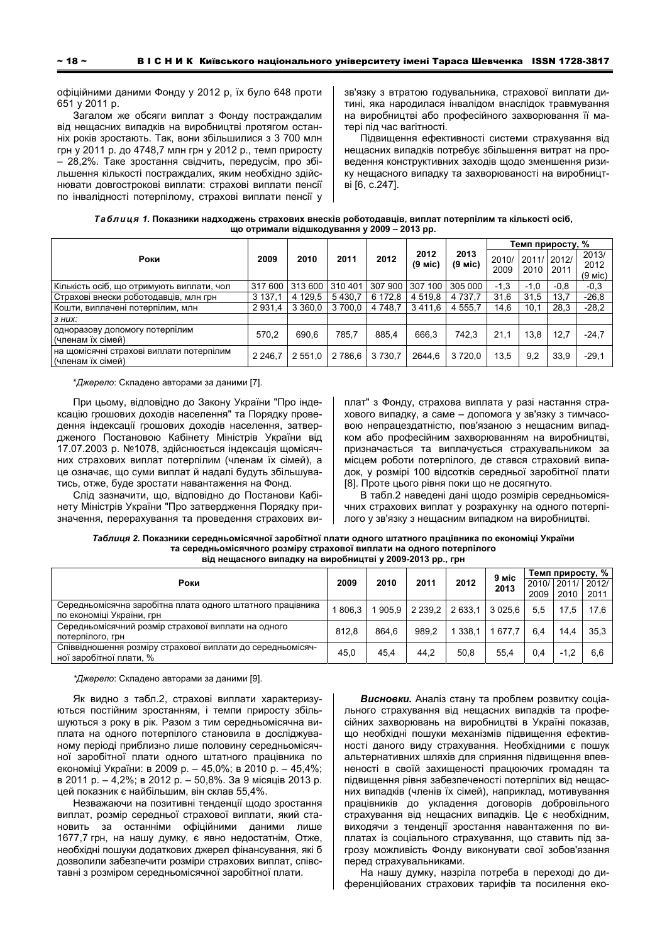офіційними даними Фонду у 2012 р, їх було 648 проти 651 v 2011 p.

Загалом же обсяги виплат з Фонду постраждалим від нещасних випадків на виробництві протягом останніх років зростають. Так, вони збільшилися з 3 700 млн грн у 2011 р. до 4748,7 млн грн у 2012 р., темп приросту – 28,2%. Таке зростання свідчить, передусім, про збільшення кількості постраждалих, яким необхідно здійснювати довгострокові виплати: страхові виплати пенсії по інвалідності потерпілому, страхові виплати пенсії у зв'язку з втратою годувальника, страхової виплати дитині, яка народилася інвалідом внаслідок травмування на виробництві або професійного захворювання її матері під час вагітності.

Підвищення ефективності системи страхування від нещасних випадків потребує збільшення витрат на проведення конструктивних заходів щодо зменшення ризику нещасного випадку та захворюваності на виробництві [6, с.247].

| Таблиця 1. Показники надходжень страхових внесків роботодавців, виплат потерпілим та кількості осіб, |
|------------------------------------------------------------------------------------------------------|
| що отримали відшкодування у 2009 – 2013 рр.                                                          |

|                                                               | 2009        | 2010        | 2011    | 2012        | 2012<br>(9 міс) | 2013<br>$(9$ Mic) | Темп приросту, % |                     |        |                               |
|---------------------------------------------------------------|-------------|-------------|---------|-------------|-----------------|-------------------|------------------|---------------------|--------|-------------------------------|
| Роки                                                          |             |             |         |             |                 |                   | 2010/<br>2009    | 2011/12012/<br>2010 | 2011   | 2013/<br>2012<br>$(9$ Mic $)$ |
| Кількість осіб, що отримують виплати, чол                     | 317 600     | 313 600     | 310401  | 307 900     | 307 100         | 305 000           | $-1.3$           | $-1.0$              | $-0.8$ | $-0.3$                        |
| Страхові внески роботодавців, млн грн                         | 3 137,1     | 4 1 2 9 5   | 5430.7  | 6 172,8     | 4 5 1 9.8       | 4 7 3 7 . 7       | 31,6             | 31.5                | 13,7   | $-26.8$                       |
| Кошти, виплачені потерпілим, млн                              | 2931,4      | 3 3 6 0 . 0 | 3 700.0 | 4 7 4 8 . 7 | 3411.6          | 555.7<br>4        | 14,6             | 10,1                | 28,3   | $-28.2$                       |
| $3$ HUX:                                                      |             |             |         |             |                 |                   |                  |                     |        |                               |
| одноразову допомогу потерпілим<br>(членам їх сімей)           | 570.2       | 690.6       | 785.7   | 885.4       | 666.3           | 742.3             | 21,1             | 13,8                | 12,7   | $-24.7$                       |
| на щомісячні страхові виплати потерпілим<br>(членам їх сімей) | 2 2 4 6 . 7 | 2 551.0     | 2 786.6 | 3 7 3 0.7   | 2644.6          | 3720,0            | 13.5             | 9,2                 | 33,9   | $-29.1$                       |

\*Джерело: Складено авторами за даними [7].

При цьому, відповідно до Закону України "Про індексацію грошових доходів населення" та Порядку проведення індексації грошових доходів населення, затвердженого Постановою Кабінету Міністрів України від 17.07.2003 р. №1078, здійснюється індексація щомісячних страхових виплат потерпілим (членам їх сімей), а це означає, що суми виплат й надалі будуть збільшуватись, отже, буде зростати навантаження на Фонд.

Слід зазначити, що, відповідно до Постанови Кабінету Міністрів України "Про затвердження Порядку призначення, перерахування та проведення страхових виплат" з Фонду, страхова виплата у разі настання страхового випадку, а саме – допомога у зв'язку з тимчасовою непрацездатністю, пов'язаною з нещасним випадком або професійним захворюванням на виробництві. призначається та виплачується страхувальником за місцем роботи потерпілого, де стався страховий випадок, у розмірі 100 відсотків середньої заробітної плати [8]. Проте цього рівня поки що не досягнуто.

В табл.2 наведені дані щодо розмірів середньомісячних страхових виплат у розрахунку на одного потерпілого у зв'язку з нещасним випадком на виробництві.

Таблиця 2. Показники середньомісячної заробітної плати одного штатного працівника по економіці України та середньомісячного розміру страхової виплати на одного потерпілого  $B$ ід нещасного випадку на виробництві у 2009-2013 рр., грн

| Роки                                                       |       | 2010  | 2011        | 2012    | 9 міс<br>2013 | Темп приросту, % |                   |      |
|------------------------------------------------------------|-------|-------|-------------|---------|---------------|------------------|-------------------|------|
|                                                            |       |       |             |         |               |                  | 2010/12011/12012/ |      |
|                                                            |       |       |             |         |               | 2009             | 2010              | 2011 |
| Середньомісячна заробітна плата одного штатного працівника | 806.3 | 905.9 | 2 2 3 9 . 2 | 2 633.1 | 3 0 2 5 . 6   | 5.5              | 17.5              | 17.6 |
| по економіці України, грн                                  |       |       |             |         |               |                  |                   |      |
| Середньомісячний розмір страхової виплати на одного        | 812.8 | 864.6 | 989.2       | 338.1   | 1677.7        | 6.4              | 14.4              | 35,3 |
| потерпілого, грн                                           |       |       |             |         |               |                  |                   |      |
| Співвідношення розміру страхової виплати до середньомісяч- | 45.0  | 45.4  | 44.2        | 50.8    | 55.4          | 0.4              | $-1.2$            | 6.6  |
| ної заробітної плати. %                                    |       |       |             |         |               |                  |                   |      |

*\*Ⱦɠɟɪɟɥɨ*: ɋɤɥɚɞɟɧɨ ɚɜɬɨɪɚɦɢ ɡɚ ɞɚɧɢɦɢ [9].

Як видно з табл.2, страхові виплати характеризуються постійним зростанням, і темпи приросту збільшуються з року в рік. Разом з тим середньомісячна виплата на одного потерпілого становила в досліджуваному періоді приблизно лише половину середньомісячної заробітної плати одного штатного працівника по економіці України: в 2009 р. – 45,0%; в 2010 р. – 45,4%; в 2011 р. – 4,2%; в 2012 р. – 50,8%. За 9 місяців 2013 р. цей показник є найбільшим, він склав 55,4%.

Незважаючи на позитивні тенденції щодо зростання виплат, розмір середньої страхової виплати, який становить за останніми офіційними даними лише 1677,7 грн, на нашу думку, є явно недостатнім, Отже, необхідні пошуки додаткових джерел фінансування, які б дозволили забезпечити розміри страхових виплат, співставні з розміром середньомісячної заробітної плати.

**Висновки.** Аналіз стану та проблем розвитку соціального страхування від нещасних випадків та професійних захворювань на виробництві в Україні показав, що необхідні пошуки механізмів підвищення ефективності даного виду страхування. Необхідними є пошук альтернативних шляхів для сприяння підвищення впевненості в своїй захищеності працюючих громадян та підвищення рівня забезпеченості потерпілих від нещасних випадків (членів їх сімей), наприклад, мотивування працівників до укладення договорів добровільного страхування від нещасних випадків. Це є необхідним, виходячи з тенденції зростання навантаження по виплатах із соціального страхування, що ставить під загрозу можливість Фонду виконувати свої зобов'язання перед страхувальниками.

На нашу думку, назріла потреба в переході до диференційованих страхових тарифів та посилення еко-